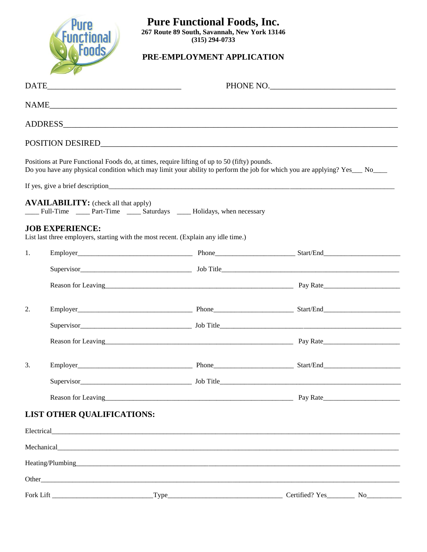

## **Pure Functional Foods, Inc.**

**267 Route 89 South, Savannah, New York 13146 (315) 294-0733**

## **PRE-EMPLOYMENT APPLICATION**

|    |                                             |                                                                                                                                                                                                                               | PHONE NO.                                                                                                                                                                                      |  |  |
|----|---------------------------------------------|-------------------------------------------------------------------------------------------------------------------------------------------------------------------------------------------------------------------------------|------------------------------------------------------------------------------------------------------------------------------------------------------------------------------------------------|--|--|
|    |                                             |                                                                                                                                                                                                                               |                                                                                                                                                                                                |  |  |
|    |                                             |                                                                                                                                                                                                                               |                                                                                                                                                                                                |  |  |
|    |                                             |                                                                                                                                                                                                                               |                                                                                                                                                                                                |  |  |
|    |                                             | Positions at Pure Functional Foods do, at times, require lifting of up to 50 (fifty) pounds.                                                                                                                                  | Do you have any physical condition which may limit your ability to perform the job for which you are applying? Yes___ No____                                                                   |  |  |
|    |                                             |                                                                                                                                                                                                                               |                                                                                                                                                                                                |  |  |
|    | <b>AVAILABILITY:</b> (check all that apply) | ____ Full-Time _____ Part-Time _____ Saturdays _____ Holidays, when necessary                                                                                                                                                 |                                                                                                                                                                                                |  |  |
|    | <b>JOB EXPERIENCE:</b>                      | List last three employers, starting with the most recent. (Explain any idle time.)                                                                                                                                            |                                                                                                                                                                                                |  |  |
| 1. |                                             |                                                                                                                                                                                                                               |                                                                                                                                                                                                |  |  |
|    |                                             |                                                                                                                                                                                                                               |                                                                                                                                                                                                |  |  |
|    |                                             |                                                                                                                                                                                                                               |                                                                                                                                                                                                |  |  |
| 2. |                                             |                                                                                                                                                                                                                               | Employer <b>Employer Employer Employer Employer Employer Employer Employer Employer Employer Employer EMPLOYER EMPLOYER EMPLOYER EMPLOYER EMPLOYER EMPLOYER EMPLOYER EMPLOYER EMPLOYER EMP</b> |  |  |
|    |                                             |                                                                                                                                                                                                                               |                                                                                                                                                                                                |  |  |
|    |                                             |                                                                                                                                                                                                                               |                                                                                                                                                                                                |  |  |
| 3. |                                             |                                                                                                                                                                                                                               |                                                                                                                                                                                                |  |  |
|    |                                             |                                                                                                                                                                                                                               |                                                                                                                                                                                                |  |  |
|    |                                             |                                                                                                                                                                                                                               |                                                                                                                                                                                                |  |  |
|    | <b>LIST OTHER QUALIFICATIONS:</b>           |                                                                                                                                                                                                                               |                                                                                                                                                                                                |  |  |
|    |                                             |                                                                                                                                                                                                                               |                                                                                                                                                                                                |  |  |
|    |                                             | Mechanical expression and the contract of the contract of the contract of the contract of the contract of the contract of the contract of the contract of the contract of the contract of the contract of the contract of the |                                                                                                                                                                                                |  |  |
|    |                                             |                                                                                                                                                                                                                               |                                                                                                                                                                                                |  |  |
|    |                                             |                                                                                                                                                                                                                               |                                                                                                                                                                                                |  |  |
|    |                                             |                                                                                                                                                                                                                               |                                                                                                                                                                                                |  |  |